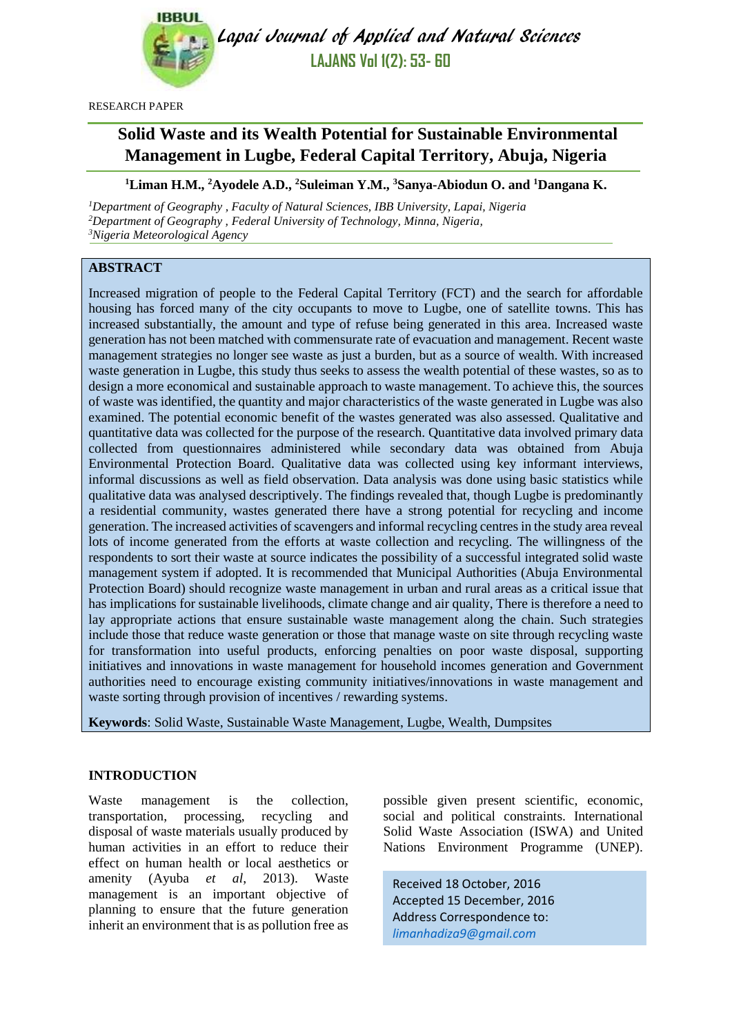

Lapai Journal of Applied and Natural Sciences **LAJANS Vol 1(2): 53- 60**

RESEARCH PAPER

# **Solid Waste and its Wealth Potential for Sustainable Environmental Management in Lugbe, Federal Capital Territory, Abuja, Nigeria**

## **<sup>1</sup>Liman H.M., <sup>2</sup>Ayodele A.D., <sup>2</sup>Suleiman Y.M., <sup>3</sup>Sanya-Abiodun O. and <sup>1</sup>Dangana K.**

*<sup>1</sup>Department of Geography , Faculty of Natural Sciences, IBB University, Lapai, Nigeria <sup>2</sup>Department of Geography , Federal University of Technology, Minna, Nigeria, <sup>3</sup>Nigeria Meteorological Agency*

## **ABSTRACT**

Increased migration of people to the Federal Capital Territory (FCT) and the search for affordable housing has forced many of the city occupants to move to Lugbe, one of satellite towns. This has increased substantially, the amount and type of refuse being generated in this area. Increased waste generation has not been matched with commensurate rate of evacuation and management. Recent waste management strategies no longer see waste as just a burden, but as a source of wealth. With increased waste generation in Lugbe, this study thus seeks to assess the wealth potential of these wastes, so as to design a more economical and sustainable approach to waste management. To achieve this, the sources of waste was identified, the quantity and major characteristics of the waste generated in Lugbe was also examined. The potential economic benefit of the wastes generated was also assessed. Qualitative and quantitative data was collected for the purpose of the research. Quantitative data involved primary data collected from questionnaires administered while secondary data was obtained from Abuja Environmental Protection Board. Qualitative data was collected using key informant interviews, informal discussions as well as field observation. Data analysis was done using basic statistics while qualitative data was analysed descriptively. The findings revealed that, though Lugbe is predominantly a residential community, wastes generated there have a strong potential for recycling and income generation. The increased activities of scavengers and informal recycling centres in the study area reveal lots of income generated from the efforts at waste collection and recycling. The willingness of the respondents to sort their waste at source indicates the possibility of a successful integrated solid waste management system if adopted. It is recommended that Municipal Authorities (Abuja Environmental Protection Board) should recognize waste management in urban and rural areas as a critical issue that has implications for sustainable livelihoods, climate change and air quality, There is therefore a need to lay appropriate actions that ensure sustainable waste management along the chain. Such strategies include those that reduce waste generation or those that manage waste on site through recycling waste for transformation into useful products, enforcing penalties on poor waste disposal, supporting initiatives and innovations in waste management for household incomes generation and Government authorities need to encourage existing community initiatives/innovations in waste management and waste sorting through provision of incentives / rewarding systems.

**Keywords**: Solid Waste, Sustainable Waste Management, Lugbe, Wealth, Dumpsites

### **INTRODUCTION**

Waste management is the collection, transportation, processing, recycling and disposal of waste materials usually produced by human activities in an effort to reduce their effect on human health or local aesthetics or amenity (Ayuba *et al*, 2013). Waste management is an important objective of planning to ensure that the future generation inherit an environment that is as pollution free as

possible given present scientific, economic, social and political constraints. International Solid Waste Association (ISWA) and United Nations Environment Programme (UNEP).

Received 18 October, 2016 Accepted 15 December, 2016 Address Correspondence to: *[limanhadiza9@gmail.com](mailto:limanhadiza9@gmail.com)*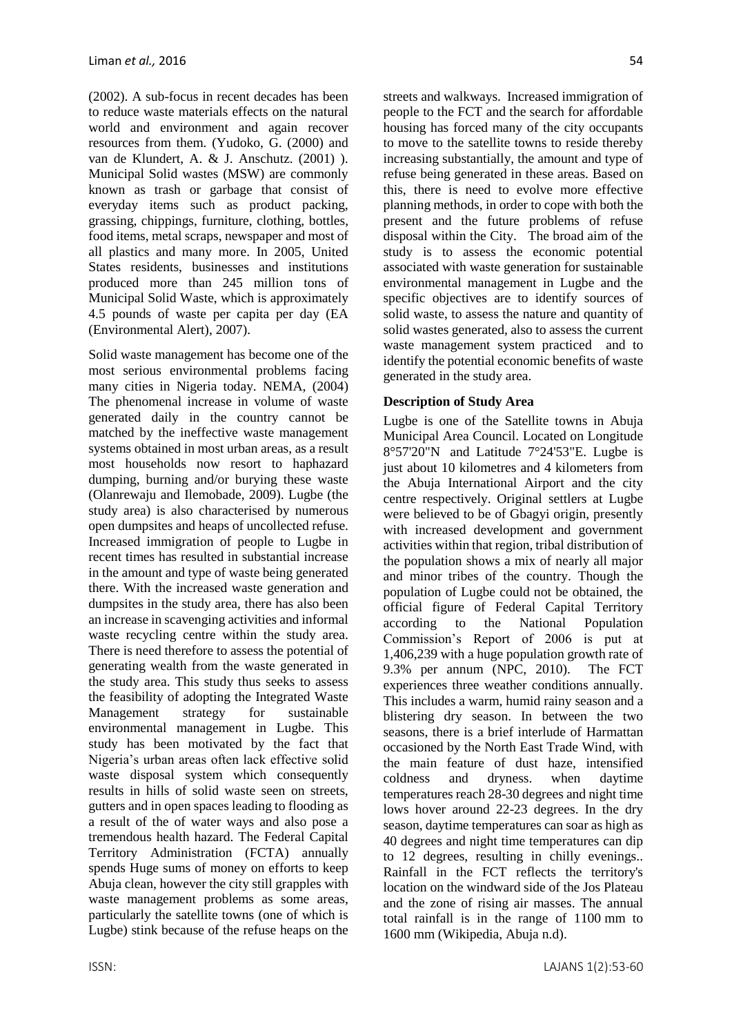(2002). A sub-focus in recent decades has been to reduce waste materials effects on the natural world and environment and again recover resources from them. (Yudoko, G. (2000) and van de Klundert, A. & J. Anschutz. (2001) ). Municipal Solid wastes (MSW) are commonly known as trash or garbage that consist of everyday items such as product packing, grassing, chippings, furniture, clothing, bottles, food items, metal scraps, newspaper and most of all plastics and many more. In 2005, United States residents, businesses and institutions produced more than 245 million tons of Municipal Solid Waste, which is approximately 4.5 pounds of waste per capita per day (EA (Environmental Alert), 2007).

Solid waste management has become one of the most serious environmental problems facing many cities in Nigeria today. NEMA, (2004) The phenomenal increase in volume of waste generated daily in the country cannot be matched by the ineffective waste management systems obtained in most urban areas, as a result most households now resort to haphazard dumping, burning and/or burying these waste (Olanrewaju and Ilemobade, 2009). Lugbe (the study area) is also characterised by numerous open dumpsites and heaps of uncollected refuse. Increased immigration of people to Lugbe in recent times has resulted in substantial increase in the amount and type of waste being generated there. With the increased waste generation and dumpsites in the study area, there has also been an increase in scavenging activities and informal waste recycling centre within the study area. There is need therefore to assess the potential of generating wealth from the waste generated in the study area. This study thus seeks to assess the feasibility of adopting the Integrated Waste Management strategy for sustainable environmental management in Lugbe. This study has been motivated by the fact that Nigeria's urban areas often lack effective solid waste disposal system which consequently results in hills of solid waste seen on streets, gutters and in open spaces leading to flooding as a result of the of water ways and also pose a tremendous health hazard. The Federal Capital Territory Administration (FCTA) annually spends Huge sums of money on efforts to keep Abuja clean, however the city still grapples with waste management problems as some areas, particularly the satellite towns (one of which is Lugbe) stink because of the refuse heaps on the streets and walkways. Increased immigration of people to the FCT and the search for affordable housing has forced many of the city occupants to move to the satellite towns to reside thereby increasing substantially, the amount and type of refuse being generated in these areas. Based on this, there is need to evolve more effective planning methods, in order to cope with both the present and the future problems of refuse disposal within the City. The broad aim of the study is to assess the economic potential associated with waste generation for sustainable environmental management in Lugbe and the specific objectives are to identify sources of solid waste, to assess the nature and quantity of solid wastes generated, also to assess the current waste management system practiced and to identify the potential economic benefits of waste generated in the study area.

## **Description of Study Area**

Lugbe is one of the Satellite towns in Abuja Municipal Area Council. Located on Longitude 8°57'20"N and Latitude 7°24'53"E. Lugbe is just about 10 kilometres and 4 kilometers from the Abuja International Airport and the city centre respectively. Original settlers at Lugbe were believed to be of Gbagyi origin, presently with increased development and government activities within that region, tribal distribution of the population shows a mix of nearly all major and minor tribes of the country. Though the population of Lugbe could not be obtained, the official figure of Federal Capital Territory according to the National Population Commission's Report of 2006 is put at 1,406,239 with a huge population growth rate of 9.3% per annum (NPC, 2010). The FCT experiences three weather conditions annually. This includes a warm, humid [rainy season](http://en.wikipedia.org/wiki/Rainy_season) and a blistering [dry season.](http://en.wikipedia.org/wiki/Dry_season) In between the two seasons, there is a brief interlude of [Harmattan](http://en.wikipedia.org/wiki/Harmattan) occasioned by the North East Trade Wind, with the main feature of dust haze, intensified coldness and dryness. when daytime temperatures reach 28-30 degrees and night time lows hover around 22-23 degrees. In the dry season, daytime temperatures can soar as high as 40 degrees and night time temperatures can dip to 12 degrees, resulting in chilly evenings.. Rainfall in the FCT reflects the territory's location on the windward side of the [Jos Plateau](http://en.wikipedia.org/wiki/Jos_Plateau) and the zone of rising air masses. The annual total rainfall is in the range of 1100 mm to 1600 mm (Wikipedia, Abuja n.d).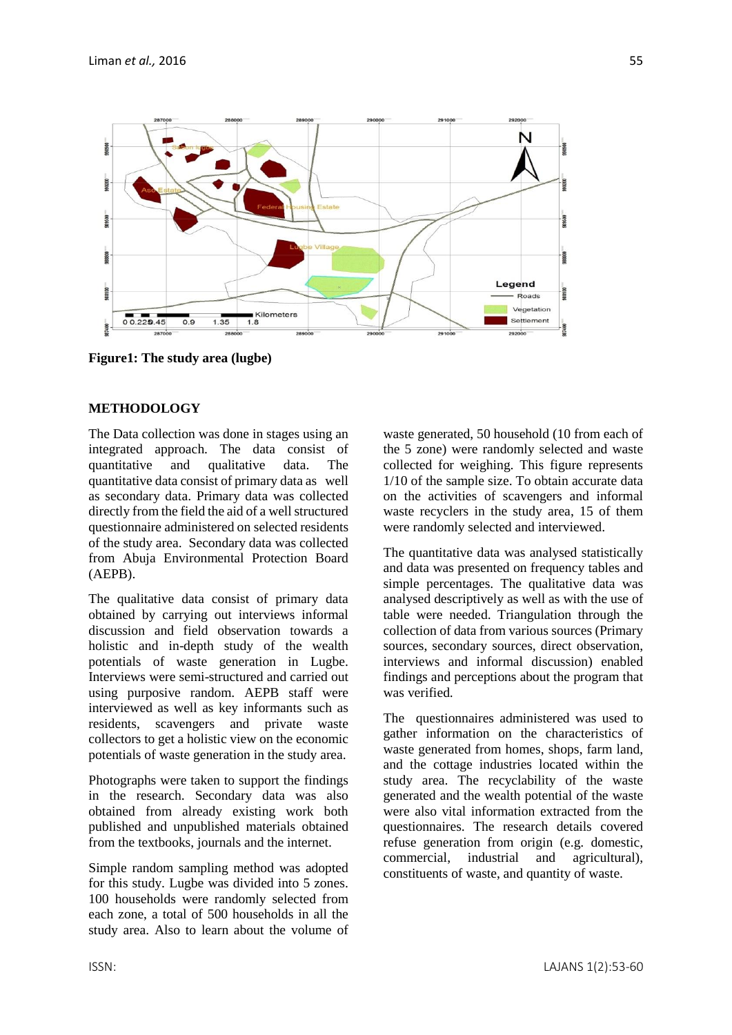

**Figure1: The study area (lugbe)**

## **METHODOLOGY**

The Data collection was done in stages using an integrated approach. The data consist of quantitative and qualitative data. The quantitative data consist of primary data as well as secondary data. Primary data was collected directly from the field the aid of a well structured questionnaire administered on selected residents of the study area. Secondary data was collected from Abuja Environmental Protection Board (AEPB).

The qualitative data consist of primary data obtained by carrying out interviews informal discussion and field observation towards a holistic and in-depth study of the wealth potentials of waste generation in Lugbe. Interviews were semi-structured and carried out using purposive random. AEPB staff were interviewed as well as key informants such as residents, scavengers and private waste collectors to get a holistic view on the economic potentials of waste generation in the study area.

Photographs were taken to support the findings in the research. Secondary data was also obtained from already existing work both published and unpublished materials obtained from the textbooks, journals and the internet.

Simple random sampling method was adopted for this study. Lugbe was divided into 5 zones. 100 households were randomly selected from each zone, a total of 500 households in all the study area. Also to learn about the volume of waste generated, 50 household (10 from each of the 5 zone) were randomly selected and waste collected for weighing. This figure represents 1/10 of the sample size. To obtain accurate data on the activities of scavengers and informal waste recyclers in the study area, 15 of them were randomly selected and interviewed.

The quantitative data was analysed statistically and data was presented on frequency tables and simple percentages. The qualitative data was analysed descriptively as well as with the use of table were needed. Triangulation through the collection of data from various sources (Primary sources, secondary sources, direct observation, interviews and informal discussion) enabled findings and perceptions about the program that was verified.

The questionnaires administered was used to gather information on the characteristics of waste generated from homes, shops, farm land, and the cottage industries located within the study area. The recyclability of the waste generated and the wealth potential of the waste were also vital information extracted from the questionnaires. The research details covered refuse generation from origin (e.g. domestic, commercial, industrial and agricultural), constituents of waste, and quantity of waste.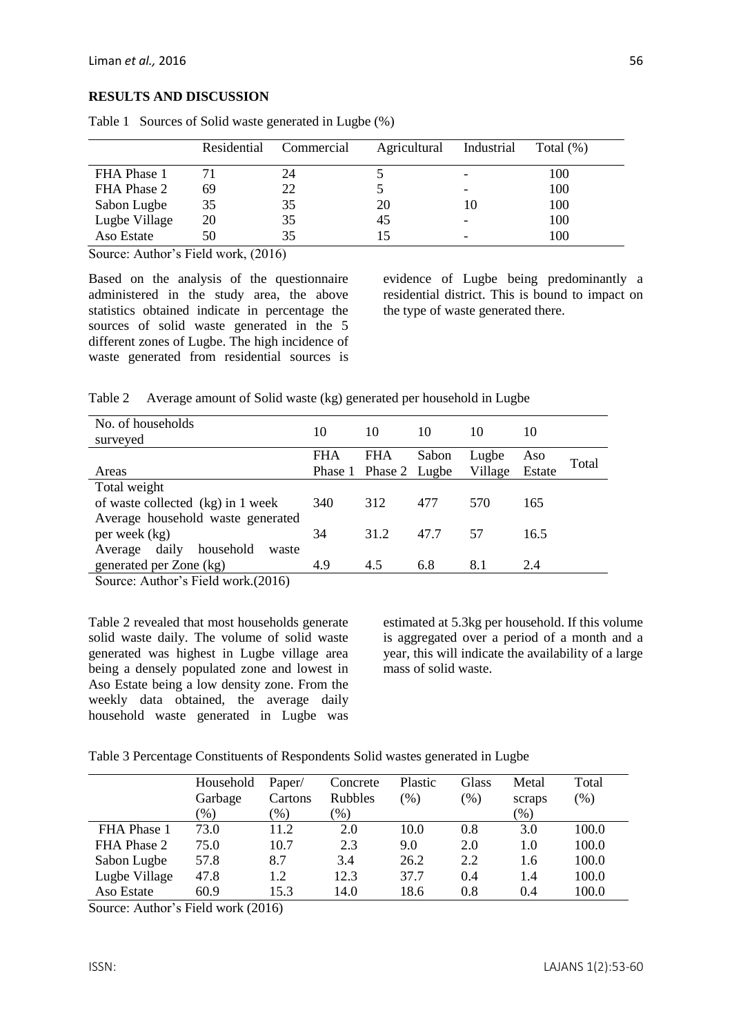#### **RESULTS AND DISCUSSION**

|               | Residential | Commercial | Agricultural | Industrial | Total $(\%)$ |
|---------------|-------------|------------|--------------|------------|--------------|
| FHA Phase 1   |             | 24         |              |            | 100          |
| FHA Phase 2   | 69          | 22         |              |            | 100          |
| Sabon Lugbe   | 35          | 35         | 20           | 10         | 100          |
| Lugbe Village | 20          | 35         | 45           |            | 100          |
| Aso Estate    | 50          | 35         |              |            | 100          |

Table 1 Sources of Solid waste generated in Lugbe (%)

Source: Author's Field work, (2016)

Based on the analysis of the questionnaire administered in the study area, the above statistics obtained indicate in percentage the sources of solid waste generated in the 5 different zones of Lugbe. The high incidence of waste generated from residential sources is evidence of Lugbe being predominantly a residential district. This is bound to impact on the type of waste generated there.

| Table 2 |  | Average amount of Solid waste (kg) generated per household in Lugbe |
|---------|--|---------------------------------------------------------------------|
|         |  |                                                                     |

| No. of households<br>surveyed          | 10         | 10                                  | 10    | 10               | 10            |       |
|----------------------------------------|------------|-------------------------------------|-------|------------------|---------------|-------|
| Areas                                  | <b>FHA</b> | <b>FHA</b><br>Phase 1 Phase 2 Lugbe | Sabon | Lugbe<br>Village | Aso<br>Estate | Total |
| Total weight                           |            |                                     |       |                  |               |       |
| of waste collected (kg) in 1 week      | 340        | 312                                 | 477   | 570              | 165           |       |
| Average household waste generated      |            |                                     |       |                  |               |       |
| per week (kg)                          | 34         | 31.2                                | 47.7  | .57              | 16.5          |       |
| daily<br>household<br>Average<br>waste |            |                                     |       |                  |               |       |
| generated per Zone (kg)                | 4.9        | 4.5                                 | 6.8   | 8.1              | 2.4           |       |

Source: Author's Field work.(2016)

Table 2 revealed that most households generate solid waste daily. The volume of solid waste generated was highest in Lugbe village area being a densely populated zone and lowest in Aso Estate being a low density zone. From the weekly data obtained, the average daily household waste generated in Lugbe was estimated at 5.3kg per household. If this volume is aggregated over a period of a month and a year, this will indicate the availability of a large mass of solid waste.

Table 3 Percentage Constituents of Respondents Solid wastes generated in Lugbe

|               | Household | Paper/  | Concrete            | Plastic | Glass   | Metal   | Total |
|---------------|-----------|---------|---------------------|---------|---------|---------|-------|
|               | Garbage   | Cartons | <b>Rubbles</b>      | (%)     | $(\% )$ | scraps  | (% )  |
|               | $(\%)$    | $(\%)$  | $\left( \% \right)$ |         |         | $(\% )$ |       |
| FHA Phase 1   | 73.0      | 11.2    | 2.0                 | 10.0    | 0.8     | 3.0     | 100.0 |
| FHA Phase 2   | 75.0      | 10.7    | 2.3                 | 9.0     | 2.0     | 1.0     | 100.0 |
| Sabon Lugbe   | 57.8      | 8.7     | 3.4                 | 26.2    | 2.2     | 1.6     | 100.0 |
| Lugbe Village | 47.8      | 1.2     | 12.3                | 37.7    | 0.4     | 1.4     | 100.0 |
| Aso Estate    | 60.9      | 15.3    | 14.0                | 18.6    | 0.8     | 0.4     | 100.0 |

Source: Author's Field work (2016)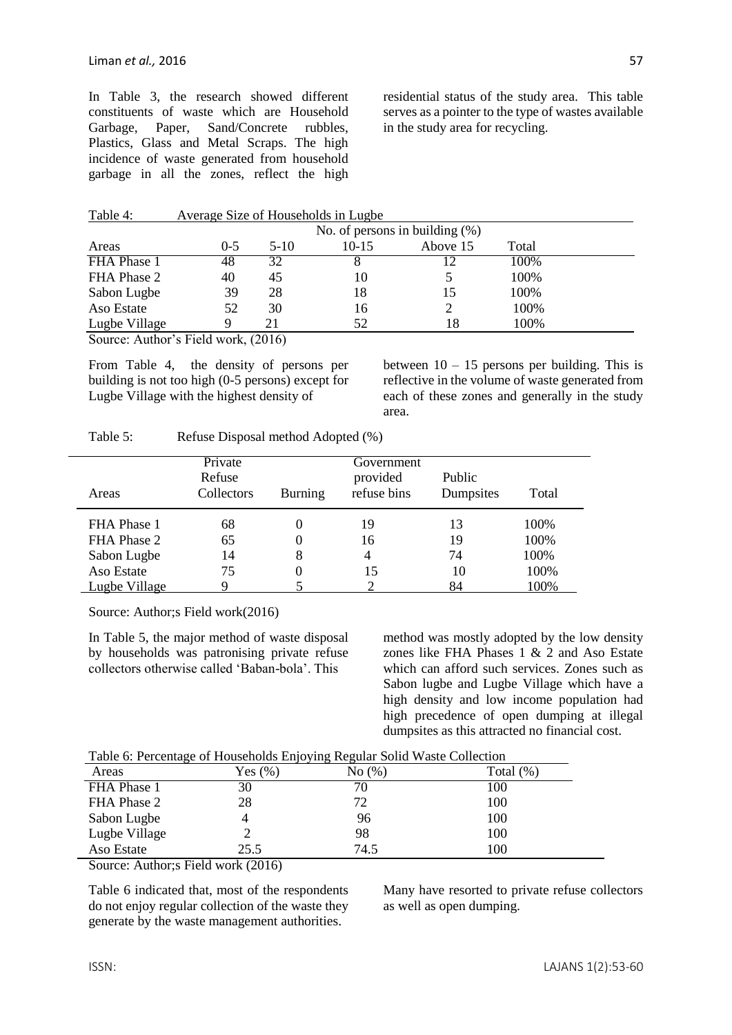In Table 3, the research showed different constituents of waste which are Household Garbage, Paper, Sand/Concrete rubbles, Plastics, Glass and Metal Scraps. The high incidence of waste generated from household garbage in all the zones, reflect the high residential status of the study area. This table serves as a pointer to the type of wastes available in the study area for recycling.

| Table 4: | Average Size of Households in Lugbe |
|----------|-------------------------------------|
|----------|-------------------------------------|

| No. of persons in building $(\%)$ |         |        |         |          |       |  |
|-----------------------------------|---------|--------|---------|----------|-------|--|
| Areas                             | $0 - 5$ | $5-10$ | $10-15$ | Above 15 | Total |  |
| FHA Phase 1                       | 48      | 32     |         |          | 100%  |  |
| FHA Phase 2                       | 40      | 45     | 10      |          | 100%  |  |
| Sabon Lugbe                       | 39      | 28     | 18      |          | 100%  |  |
| Aso Estate                        | 52      | 30     | 16      |          | 100%  |  |
| Lugbe Village                     |         |        | 52      |          | 100%  |  |

Source: Author's Field work, (2016)

From Table 4, the density of persons per building is not too high (0-5 persons) except for Lugbe Village with the highest density of

between  $10 - 15$  persons per building. This is reflective in the volume of waste generated from each of these zones and generally in the study area.

| Refuse Disposal method Adopted (%)<br>Table 5: |
|------------------------------------------------|
|------------------------------------------------|

| Areas         | Private<br>Refuse<br>Collectors | <b>Burning</b> | Government<br>provided<br>refuse bins | Public<br>Dumpsites | Total |
|---------------|---------------------------------|----------------|---------------------------------------|---------------------|-------|
| FHA Phase 1   | 68                              | 0              | 19                                    | 13                  | 100%  |
| FHA Phase 2   | 65                              | 0              | 16                                    | 19                  | 100%  |
| Sabon Lugbe   | 14                              | 8              | 4                                     | 74                  | 100%  |
| Aso Estate    | 75                              | 0              | 15                                    | 10                  | 100%  |
| Lugbe Village |                                 |                |                                       | 84                  | 100%  |

Source: Author;s Field work(2016)

In Table 5, the major method of waste disposal by households was patronising private refuse collectors otherwise called 'Baban-bola'. This

method was mostly adopted by the low density zones like FHA Phases 1 & 2 and Aso Estate which can afford such services. Zones such as Sabon lugbe and Lugbe Village which have a high density and low income population had high precedence of open dumping at illegal dumpsites as this attracted no financial cost.

| Table 6: Percentage of Households Enjoying Regular Solid Waste Collection |  |  |
|---------------------------------------------------------------------------|--|--|
|                                                                           |  |  |

| Areas         | Yes $(\%)$ | No(%) | Total $(\%)$ |
|---------------|------------|-------|--------------|
| FHA Phase 1   | 30         | 70    | 100          |
| FHA Phase 2   | 28         | 72    | 100          |
| Sabon Lugbe   |            | 96    | 100          |
| Lugbe Village |            | 98    | 100          |
| Aso Estate    | 25.5       | 74.5  | 100          |

Source: Author;s Field work (2016)

Table 6 indicated that, most of the respondents do not enjoy regular collection of the waste they generate by the waste management authorities.

Many have resorted to private refuse collectors as well as open dumping.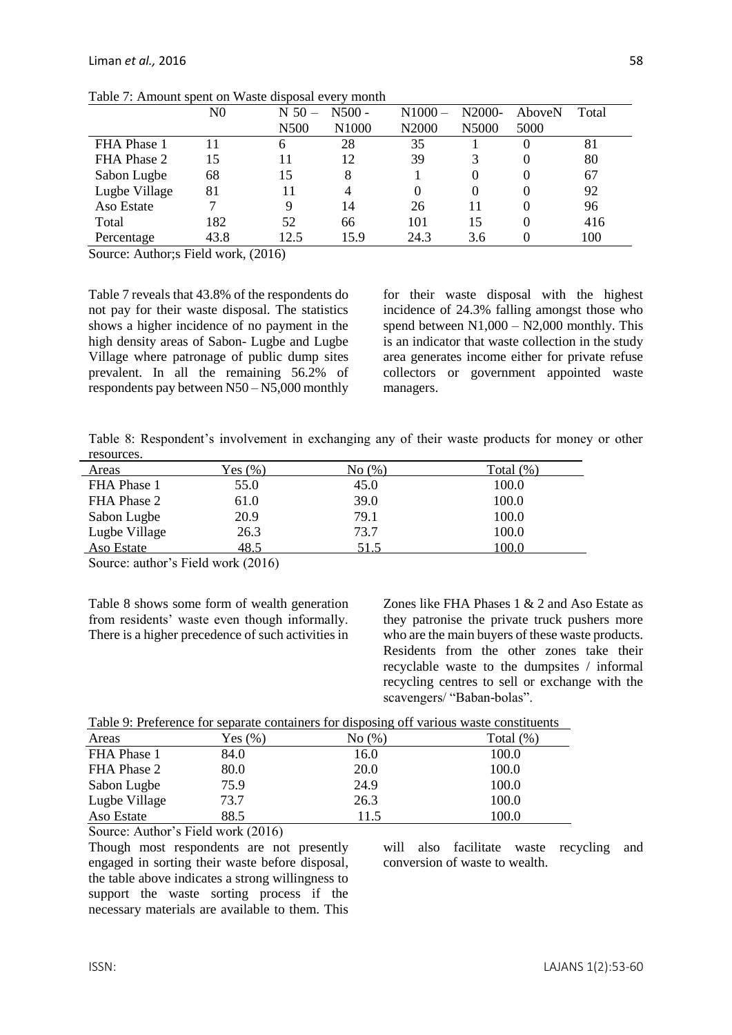|               | $_{\rm N0}$ | $N$ 50 $-$ | $N500 -$ | $N1000 -$ | N2000- | AboveN | Total |
|---------------|-------------|------------|----------|-----------|--------|--------|-------|
|               |             | N500       | N1000    | N2000     | N5000  | 5000   |       |
| FHA Phase 1   |             | 6          | 28       | 35        |        |        | 81    |
| FHA Phase 2   | 15          |            | 12       | 39        |        |        | 80    |
| Sabon Lugbe   | 68          | 15         | 8        |           |        |        | 67    |
| Lugbe Village | 81          | 11         |          |           |        |        | 92    |
| Aso Estate    |             | 9          | 14       | 26        | 11     |        | 96    |
| Total         | 182         | 52         | 66       | 101       | 15     | 0      | 416   |
| Percentage    | 43.8        | 12.5       | 15.9     | 24.3      | 3.6    |        | 100   |

Table 7: Amount spent on Waste disposal every month

Source: Author;s Field work, (2016)

Table 7 reveals that 43.8% of the respondents do not pay for their waste disposal. The statistics shows a higher incidence of no payment in the high density areas of Sabon- Lugbe and Lugbe Village where patronage of public dump sites prevalent. In all the remaining 56.2% of respondents pay between N50 – N5,000 monthly for their waste disposal with the highest incidence of 24.3% falling amongst those who spend between  $N1,000 - N2,000$  monthly. This is an indicator that waste collection in the study area generates income either for private refuse collectors or government appointed waste managers.

Table 8: Respondent's involvement in exchanging any of their waste products for money or other resources.

| Areas         | Yes(%) | No (%) | Total (%) |
|---------------|--------|--------|-----------|
| FHA Phase 1   | 55.0   | 45.0   | 100.0     |
| FHA Phase 2   | 61.0   | 39.0   | 100.0     |
| Sabon Lugbe   | 20.9   | 79.1   | 100.0     |
| Lugbe Village | 26.3   | 73.7   | 100.0     |
| Aso Estate    | 48.5   | 51.5   | 100.0     |

Source: author's Field work (2016)

Table 8 shows some form of wealth generation from residents' waste even though informally. There is a higher precedence of such activities in Zones like FHA Phases 1 & 2 and Aso Estate as they patronise the private truck pushers more who are the main buyers of these waste products. Residents from the other zones take their recyclable waste to the dumpsites / informal recycling centres to sell or exchange with the scavengers/ "Baban-bolas".

| Table 9: Preference for separate containers for disposing off various waste constituents |  |  |
|------------------------------------------------------------------------------------------|--|--|
|                                                                                          |  |  |

| Areas         | Yes $(\%)$ | No(%) | Total $(\%)$ |
|---------------|------------|-------|--------------|
| FHA Phase 1   | 84.0       | 16.0  | 100.0        |
| FHA Phase 2   | 80.0       | 20.0  | 100.0        |
| Sabon Lugbe   | 75.9       | 24.9  | 100.0        |
| Lugbe Village | 73.7       | 26.3  | 100.0        |
| Aso Estate    | 88.5       | 11.5  | 100.0        |

Source: Author's Field work (2016)

Though most respondents are not presently engaged in sorting their waste before disposal, the table above indicates a strong willingness to support the waste sorting process if the necessary materials are available to them. This will also facilitate waste recycling and conversion of waste to wealth.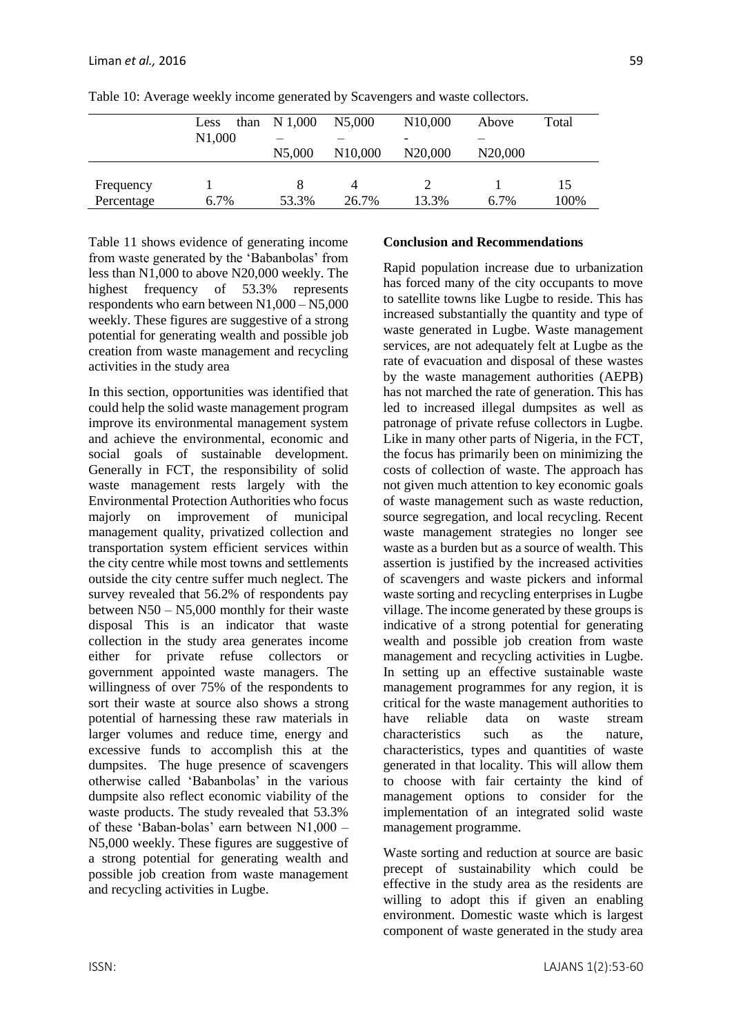|            | than<br>Less<br>N1,000 | N 1,000 | N5,000               | N <sub>10</sub> ,000 | Above                | Total |
|------------|------------------------|---------|----------------------|----------------------|----------------------|-------|
|            |                        | N5,000  | N <sub>10</sub> ,000 | N <sub>20</sub> ,000 | N <sub>20</sub> ,000 |       |
| Frequency  |                        |         | 4                    |                      |                      | 15    |
| Percentage | 6.7%                   | 53.3%   | 26.7%                | 13.3%                | 6.7%                 | 100%  |

Table 10: Average weekly income generated by Scavengers and waste collectors.

Table 11 shows evidence of generating income from waste generated by the 'Babanbolas' from less than N1,000 to above N20,000 weekly. The highest frequency of 53.3% represents respondents who earn between N1,000 – N5,000 weekly. These figures are suggestive of a strong potential for generating wealth and possible job creation from waste management and recycling activities in the study area

In this section, opportunities was identified that could help the solid waste management program improve its environmental management system and achieve the environmental, economic and social goals of sustainable development. Generally in FCT, the responsibility of solid waste management rests largely with the Environmental Protection Authorities who focus majorly on improvement of municipal management quality, privatized collection and transportation system efficient services within the city centre while most towns and settlements outside the city centre suffer much neglect. The survey revealed that 56.2% of respondents pay between N50 – N5,000 monthly for their waste disposal This is an indicator that waste collection in the study area generates income either for private refuse collectors or government appointed waste managers. The willingness of over 75% of the respondents to sort their waste at source also shows a strong potential of harnessing these raw materials in larger volumes and reduce time, energy and excessive funds to accomplish this at the dumpsites. The huge presence of scavengers otherwise called 'Babanbolas' in the various dumpsite also reflect economic viability of the waste products. The study revealed that 53.3% of these 'Baban-bolas' earn between N1,000 – N5,000 weekly. These figures are suggestive of a strong potential for generating wealth and possible job creation from waste management and recycling activities in Lugbe.

#### **Conclusion and Recommendations**

Rapid population increase due to urbanization has forced many of the city occupants to move to satellite towns like Lugbe to reside. This has increased substantially the quantity and type of waste generated in Lugbe. Waste management services, are not adequately felt at Lugbe as the rate of evacuation and disposal of these wastes by the waste management authorities (AEPB) has not marched the rate of generation. This has led to increased illegal dumpsites as well as patronage of private refuse collectors in Lugbe. Like in many other parts of Nigeria, in the FCT, the focus has primarily been on minimizing the costs of collection of waste. The approach has not given much attention to key economic goals of waste management such as waste reduction, source segregation, and local recycling. Recent waste management strategies no longer see waste as a burden but as a source of wealth. This assertion is justified by the increased activities of scavengers and waste pickers and informal waste sorting and recycling enterprises in Lugbe village. The income generated by these groups is indicative of a strong potential for generating wealth and possible job creation from waste management and recycling activities in Lugbe. In setting up an effective sustainable waste management programmes for any region, it is critical for the waste management authorities to have reliable data on waste stream characteristics such as the nature, characteristics, types and quantities of waste generated in that locality. This will allow them to choose with fair certainty the kind of management options to consider for the implementation of an integrated solid waste management programme.

Waste sorting and reduction at source are basic precept of sustainability which could be effective in the study area as the residents are willing to adopt this if given an enabling environment. Domestic waste which is largest component of waste generated in the study area